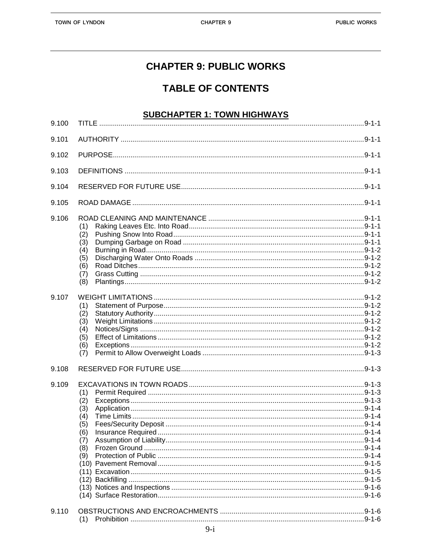### **CHAPTER 9: PUBLIC WORKS**

## **TABLE OF CONTENTS**

#### **SUBCHAPTER 1: TOWN HIGHWAYS**

| 9.100          |                                                             |  |
|----------------|-------------------------------------------------------------|--|
| 9.101          |                                                             |  |
| 9.102          |                                                             |  |
| 9.103          |                                                             |  |
| 9.104          |                                                             |  |
| 9.105          |                                                             |  |
| 9.106<br>9.107 | (1)<br>(2)<br>(3)<br>(4)<br>(5)<br>(6)<br>(7)<br>(8)        |  |
|                | (1)<br>(2)<br>(3)<br>(4)<br>(5)<br>(6)<br>(7)               |  |
| 9.108          |                                                             |  |
| 9.109          | (1)<br>(2)<br>(3)<br>(4)<br>(5)<br>(6)<br>(7)<br>(8)<br>(9) |  |
| 9.110          | (1)                                                         |  |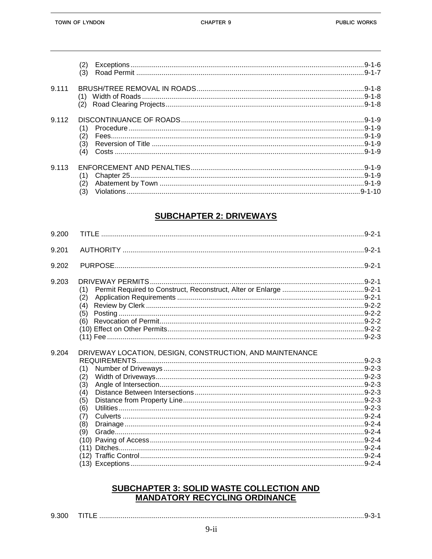|         | (2)<br>(3)               |  |
|---------|--------------------------|--|
| 9 1 1 1 | (1)                      |  |
| 9.112   | (1)<br>(2)<br>(3)<br>(4) |  |
| 9,113   | (1)<br>(2)<br>(3)        |  |

#### **SUBCHAPTER 2: DRIVEWAYS**

| 9.200 |                                                          |  |
|-------|----------------------------------------------------------|--|
| 9.201 |                                                          |  |
| 9.202 |                                                          |  |
| 9.203 | (1)                                                      |  |
|       | (2)                                                      |  |
|       | (4)                                                      |  |
|       | (5)                                                      |  |
|       | (6)                                                      |  |
|       |                                                          |  |
|       |                                                          |  |
| 9.204 | DRIVEWAY LOCATION, DESIGN, CONSTRUCTION, AND MAINTENANCE |  |
|       |                                                          |  |
|       | (1)                                                      |  |
|       | (2)                                                      |  |
|       | (3)                                                      |  |
|       | (4)                                                      |  |
|       | (5)                                                      |  |
|       | (6)                                                      |  |
|       | (7)                                                      |  |
|       | (8)                                                      |  |
|       | (9)                                                      |  |
|       | (11)                                                     |  |
|       |                                                          |  |
|       |                                                          |  |
|       |                                                          |  |

# SUBCHAPTER 3: SOLID WASTE COLLECTION AND<br>MANDATORY RECYCLING ORDINANCE